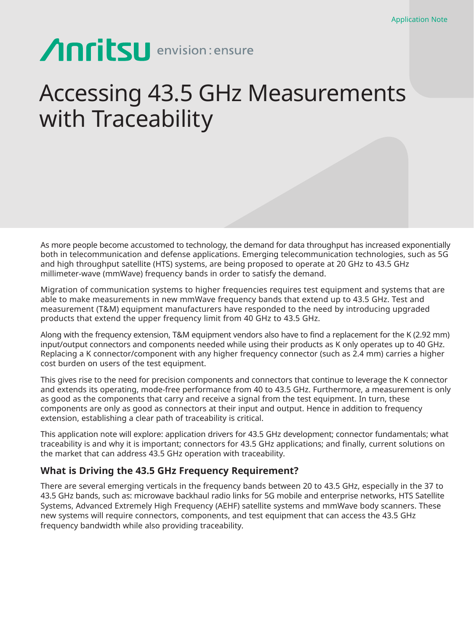# **Anritsu** envision: ensure

## Accessing 43.5 GHz Measurements with Traceability

As more people become accustomed to technology, the demand for data throughput has increased exponentially both in telecommunication and defense applications. Emerging telecommunication technologies, such as 5G and high throughput satellite (HTS) systems, are being proposed to operate at 20 GHz to 43.5 GHz millimeter-wave (mmWave) frequency bands in order to satisfy the demand.

Migration of communication systems to higher frequencies requires test equipment and systems that are able to make measurements in new mmWave frequency bands that extend up to 43.5 GHz. Test and measurement (T&M) equipment manufacturers have responded to the need by introducing upgraded products that extend the upper frequency limit from 40 GHz to 43.5 GHz.

Along with the frequency extension, T&M equipment vendors also have to find a replacement for the K (2.92 mm) input/output connectors and components needed while using their products as K only operates up to 40 GHz. Replacing a K connector/component with any higher frequency connector (such as 2.4 mm) carries a higher cost burden on users of the test equipment.

This gives rise to the need for precision components and connectors that continue to leverage the K connector and extends its operating, mode-free performance from 40 to 43.5 GHz. Furthermore, a measurement is only as good as the components that carry and receive a signal from the test equipment. In turn, these components are only as good as connectors at their input and output. Hence in addition to frequency extension, establishing a clear path of traceability is critical.

This application note will explore: application drivers for 43.5 GHz development; connector fundamentals; what traceability is and why it is important; connectors for 43.5 GHz applications; and finally, current solutions on the market that can address 43.5 GHz operation with traceability.

### **What is Driving the 43.5 GHz Frequency Requirement?**

There are several emerging verticals in the frequency bands between 20 to 43.5 GHz, especially in the 37 to 43.5 GHz bands, such as: microwave backhaul radio links for 5G mobile and enterprise networks, HTS Satellite Systems, Advanced Extremely High Frequency (AEHF) satellite systems and mmWave body scanners. These new systems will require connectors, components, and test equipment that can access the 43.5 GHz frequency bandwidth while also providing traceability.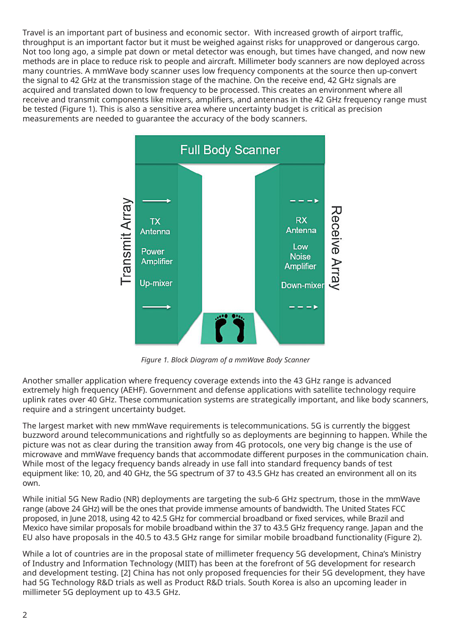Travel is an important part of business and economic sector. With increased growth of airport traffic, throughput is an important factor but it must be weighed against risks for unapproved or dangerous cargo. Not too long ago, a simple pat down or metal detector was enough, but times have changed, and now new methods are in place to reduce risk to people and aircraft. Millimeter body scanners are now deployed across many countries. A mmWave body scanner uses low frequency components at the source then up-convert the signal to 42 GHz at the transmission stage of the machine. On the receive end, 42 GHz signals are acquired and translated down to low frequency to be processed. This creates an environment where all receive and transmit components like mixers, amplifiers, and antennas in the 42 GHz frequency range must be tested (Figure 1). This is also a sensitive area where uncertainty budget is critical as precision measurements are needed to guarantee the accuracy of the body scanners.



*Figure 1. Block Diagram of a mmWave Body Scanner*

Another smaller application where frequency coverage extends into the 43 GHz range is advanced extremely high frequency (AEHF). Government and defense applications with satellite technology require uplink rates over 40 GHz. These communication systems are strategically important, and like body scanners, require and a stringent uncertainty budget.

The largest market with new mmWave requirements is telecommunications. 5G is currently the biggest buzzword around telecommunications and rightfully so as deployments are beginning to happen. While the picture was not as clear during the transition away from 4G protocols, one very big change is the use of microwave and mmWave frequency bands that accommodate different purposes in the communication chain. While most of the legacy frequency bands already in use fall into standard frequency bands of test equipment like: 10, 20, and 40 GHz, the 5G spectrum of 37 to 43.5 GHz has created an environment all on its own.

While initial 5G New Radio (NR) deployments are targeting the sub-6 GHz spectrum, those in the mmWave range (above 24 GHz) will be the ones that provide immense amounts of bandwidth. The United States FCC proposed, in June 2018, using 42 to 42.5 GHz for commercial broadband or fixed services, while Brazil and Mexico have similar proposals for mobile broadband within the 37 to 43.5 GHz frequency range. Japan and the EU also have proposals in the 40.5 to 43.5 GHz range for similar mobile broadband functionality (Figure 2).

While a lot of countries are in the proposal state of millimeter frequency 5G development, China's Ministry of Industry and Information Technology (MIIT) has been at the forefront of 5G development for research and development testing. [2] China has not only proposed frequencies for their 5G development, they have had 5G Technology R&D trials as well as Product R&D trials. South Korea is also an upcoming leader in millimeter 5G deployment up to 43.5 GHz.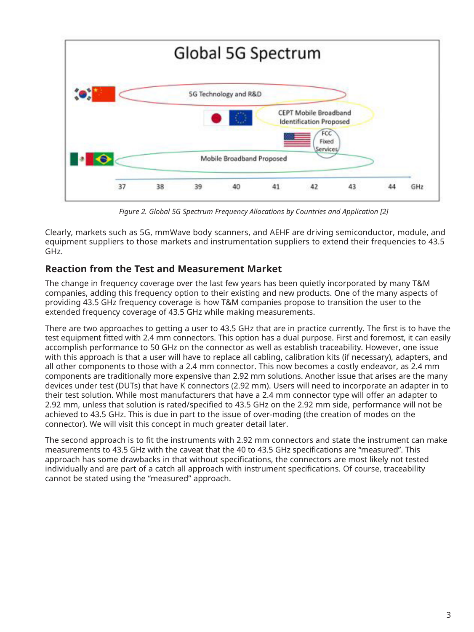

*Figure 2. Global 5G Spectrum Frequency Allocations by Countries and Application [2]*

Clearly, markets such as 5G, mmWave body scanners, and AEHF are driving semiconductor, module, and equipment suppliers to those markets and instrumentation suppliers to extend their frequencies to 43.5 GHz.

## **Reaction from the Test and Measurement Market**

The change in frequency coverage over the last few years has been quietly incorporated by many T&M companies, adding this frequency option to their existing and new products. One of the many aspects of providing 43.5 GHz frequency coverage is how T&M companies propose to transition the user to the extended frequency coverage of 43.5 GHz while making measurements.

There are two approaches to getting a user to 43.5 GHz that are in practice currently. The first is to have the test equipment fitted with 2.4 mm connectors. This option has a dual purpose. First and foremost, it can easily accomplish performance to 50 GHz on the connector as well as establish traceability. However, one issue with this approach is that a user will have to replace all cabling, calibration kits (if necessary), adapters, and all other components to those with a 2.4 mm connector. This now becomes a costly endeavor, as 2.4 mm components are traditionally more expensive than 2.92 mm solutions. Another issue that arises are the many devices under test (DUTs) that have K connectors (2.92 mm). Users will need to incorporate an adapter in to their test solution. While most manufacturers that have a 2.4 mm connector type will offer an adapter to 2.92 mm, unless that solution is rated/specified to 43.5 GHz on the 2.92 mm side, performance will not be achieved to 43.5 GHz. This is due in part to the issue of over-moding (the creation of modes on the connector). We will visit this concept in much greater detail later.

The second approach is to fit the instruments with 2.92 mm connectors and state the instrument can make measurements to 43.5 GHz with the caveat that the 40 to 43.5 GHz specifications are "measured". This approach has some drawbacks in that without specifications, the connectors are most likely not tested individually and are part of a catch all approach with instrument specifications. Of course, traceability cannot be stated using the "measured" approach.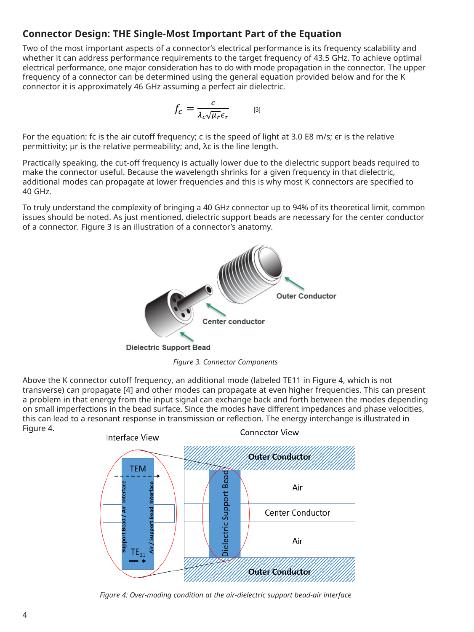## **Connector Design: THE Single-Most Important Part of the Equation**

Two of the most important aspects of a connector's electrical performance is its frequency scalability and whether it can address performance requirements to the target frequency of 43.5 GHz. To achieve optimal electrical performance, one major consideration has to do with mode propagation in the connector. The upper frequency of a connector can be determined using the general equation provided below and for the K connector it is approximately 46 GHz assuming a perfect air dielectric.

$$
f_c = \frac{c}{\lambda_c \sqrt{\mu_r} \epsilon_r} \qquad \text{[3]}
$$

For the equation: fc is the air cutoff frequency; c is the speed of light at 3.0 E8 m/s; er is the relative permittivity; μr is the relative permeability; and, λc is the line length.

Practically speaking, the cut-off frequency is actually lower due to the dielectric support beads required to make the connector useful. Because the wavelength shrinks for a given frequency in that dielectric, additional modes can propagate at lower frequencies and this is why most K connectors are specified to 40 GHz.

To truly understand the complexity of bringing a 40 GHz connector up to 94% of its theoretical limit, common issues should be noted. As just mentioned, dielectric support beads are necessary for the center conductor of a connector. Figure 3 is an illustration of a connector's anatomy.



*Figure 3. Connector Components*

Above the K connector cutoff frequency, an additional mode (labeled TE11 in Figure 4, which is not transverse) can propagate [4] and other modes can propagate at even higher frequencies. This can present a problem in that energy from the input signal can exchange back and forth between the modes depending on small imperfections in the bead surface. Since the modes have different impedances and phase velocities, this can lead to a resonant response in transmission or reflection. The energy interchange is illustrated in Figure 4.



*Figure 4: Over-moding condition at the air-dielectric support bead-air interface*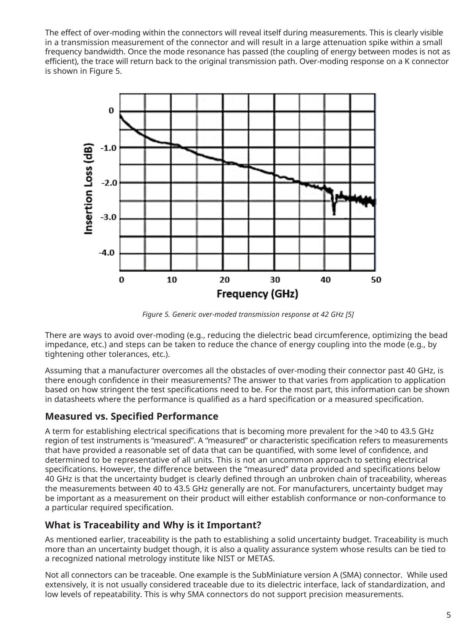The effect of over-moding within the connectors will reveal itself during measurements. This is clearly visible in a transmission measurement of the connector and will result in a large attenuation spike within a small frequency bandwidth. Once the mode resonance has passed (the coupling of energy between modes is not as efficient), the trace will return back to the original transmission path. Over-moding response on a K connector is shown in Figure 5.



*Figure 5. Generic over-moded transmission response at 42 GHz [5]*

There are ways to avoid over-moding (e.g., reducing the dielectric bead circumference, optimizing the bead impedance, etc.) and steps can be taken to reduce the chance of energy coupling into the mode (e.g., by tightening other tolerances, etc.).

Assuming that a manufacturer overcomes all the obstacles of over-moding their connector past 40 GHz, is there enough confidence in their measurements? The answer to that varies from application to application based on how stringent the test specifications need to be. For the most part, this information can be shown in datasheets where the performance is qualified as a hard specification or a measured specification.

## **Measured vs. Specified Performance**

A term for establishing electrical specifications that is becoming more prevalent for the >40 to 43.5 GHz region of test instruments is "measured". A "measured" or characteristic specification refers to measurements that have provided a reasonable set of data that can be quantified, with some level of confidence, and determined to be representative of all units. This is not an uncommon approach to setting electrical specifications. However, the difference between the "measured" data provided and specifications below 40 GHz is that the uncertainty budget is clearly defined through an unbroken chain of traceability, whereas the measurements between 40 to 43.5 GHz generally are not. For manufacturers, uncertainty budget may be important as a measurement on their product will either establish conformance or non-conformance to a particular required specification.

## **What is Traceability and Why is it Important?**

As mentioned earlier, traceability is the path to establishing a solid uncertainty budget. Traceability is much more than an uncertainty budget though, it is also a quality assurance system whose results can be tied to a recognized national metrology institute like NIST or METAS.

Not all connectors can be traceable. One example is the SubMiniature version A (SMA) connector. While used extensively, it is not usually considered traceable due to its dielectric interface, lack of standardization, and low levels of repeatability. This is why SMA connectors do not support precision measurements.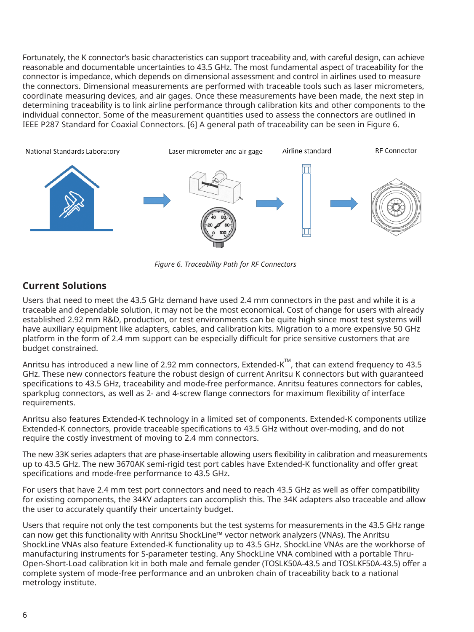Fortunately, the K connector's basic characteristics can support traceability and, with careful design, can achieve reasonable and documentable uncertainties to 43.5 GHz. The most fundamental aspect of traceability for the connector is impedance, which depends on dimensional assessment and control in airlines used to measure the connectors. Dimensional measurements are performed with traceable tools such as laser micrometers, coordinate measuring devices, and air gages. Once these measurements have been made, the next step in determining traceability is to link airline performance through calibration kits and other components to the individual connector. Some of the measurement quantities used to assess the connectors are outlined in IEEE P287 Standard for Coaxial Connectors. [6] A general path of traceability can be seen in Figure 6.



*Figure 6. Traceability Path for RF Connectors*

## **Current Solutions**

Users that need to meet the 43.5 GHz demand have used 2.4 mm connectors in the past and while it is a traceable and dependable solution, it may not be the most economical. Cost of change for users with already established 2.92 mm R&D, production, or test environments can be quite high since most test systems will have auxiliary equipment like adapters, cables, and calibration kits. Migration to a more expensive 50 GHz platform in the form of 2.4 mm support can be especially difficult for price sensitive customers that are budget constrained.

Anritsu has introduced a new line of 2.92 mm connectors, Extended-K<sup>TM</sup>, that can extend frequency to 43.5 GHz. These new connectors feature the robust design of current Anritsu K connectors but with guaranteed specifications to 43.5 GHz, traceability and mode-free performance. Anritsu features connectors for cables, sparkplug connectors, as well as 2- and 4-screw flange connectors for maximum flexibility of interface requirements.

Anritsu also features Extended-K technology in a limited set of components. Extended-K components utilize Extended-K connectors, provide traceable specifications to 43.5 GHz without over-moding, and do not require the costly investment of moving to 2.4 mm connectors.

The new 33K series adapters that are phase-insertable allowing users flexibility in calibration and measurements up to 43.5 GHz. The new 3670AK semi-rigid test port cables have Extended-K functionality and offer great specifications and mode-free performance to 43.5 GHz.

For users that have 2.4 mm test port connectors and need to reach 43.5 GHz as well as offer compatibility for existing components, the 34KV adapters can accomplish this. The 34K adapters also traceable and allow the user to accurately quantify their uncertainty budget.

Users that require not only the test components but the test systems for measurements in the 43.5 GHz range can now get this functionality with Anritsu ShockLine™ vector network analyzers (VNAs). The Anritsu ShockLine VNAs also feature Extended-K functionality up to 43.5 GHz. ShockLine VNAs are the workhorse of manufacturing instruments for S-parameter testing. Any ShockLine VNA combined with a portable Thru-Open-Short-Load calibration kit in both male and female gender (TOSLK50A-43.5 and TOSLKF50A-43.5) offer a complete system of mode-free performance and an unbroken chain of traceability back to a national metrology institute.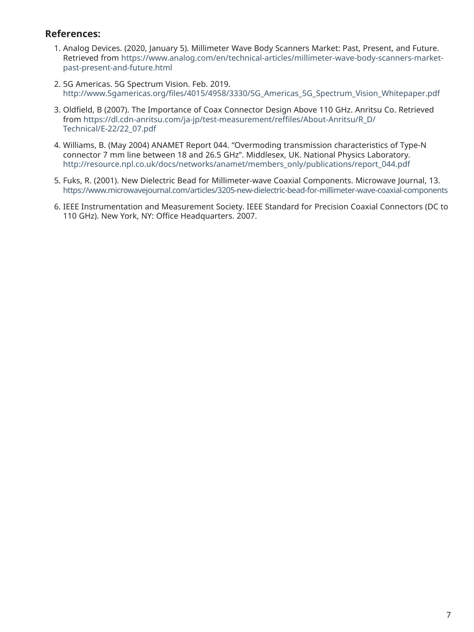### **References:**

- 1. Analog Devices. (2020, January 5). Millimeter Wave Body Scanners Market: Past, Present, and Future. Retrieved from https://www.analog.com/en/technical-articles/millimeter-wave-body-scanners-marketpast-present-and-future.html
- 2. 5G Americas. 5G Spectrum Vision. Feb. 2019. http://www.5gamericas.org/files/4015/4958/3330/5G\_Americas\_5G\_Spectrum\_Vision\_Whitepaper.pdf
- 3. Oldfield, B (2007). The Importance of Coax Connector Design Above 110 GHz. Anritsu Co. Retrieved from https://dl.cdn-anritsu.com/ja-jp/test-measurement/reffiles/About-Anritsu/R\_D/ Technical/E-22/22\_07.pdf
- 4. Williams, B. (May 2004) ANAMET Report 044. "Overmoding transmission characteristics of Type-N connector 7 mm line between 18 and 26.5 GHz". Middlesex, UK. National Physics Laboratory. http://resource.npl.co.uk/docs/networks/anamet/members\_only/publications/report\_044.pdf
- 5. Fuks, R. (2001). New Dielectric Bead for Millimeter-wave Coaxial Components. Microwave Journal, 13. https://www.microwavejournal.com/articles/3205-new-dielectric-bead-for-millimeter-wave-coaxial-components
- 6. IEEE Instrumentation and Measurement Society. IEEE Standard for Precision Coaxial Connectors (DC to 110 GHz). New York, NY: Office Headquarters. 2007.